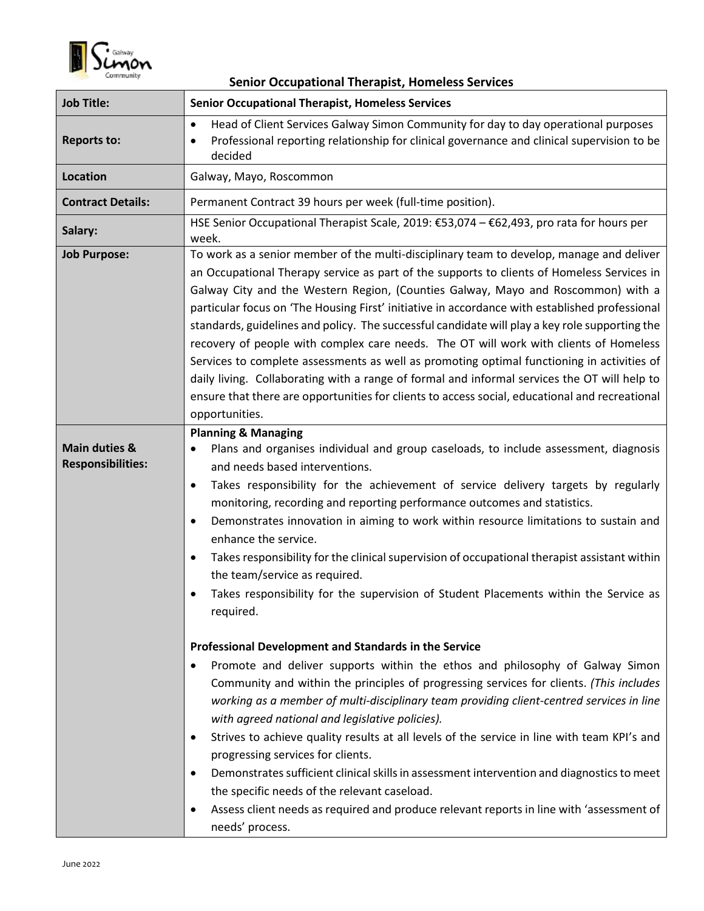

| <b>Senior Occupational Therapist, Homeless Services</b> |                                                                                                                                                                                                                                                                                                                                                                                                                                                                                                                                                                                                                                                                                                                                                                                                                                                                                                                                                                                                                                                                                                                                                                                                                                                                                                                                                                                                                                                                                         |  |
|---------------------------------------------------------|-----------------------------------------------------------------------------------------------------------------------------------------------------------------------------------------------------------------------------------------------------------------------------------------------------------------------------------------------------------------------------------------------------------------------------------------------------------------------------------------------------------------------------------------------------------------------------------------------------------------------------------------------------------------------------------------------------------------------------------------------------------------------------------------------------------------------------------------------------------------------------------------------------------------------------------------------------------------------------------------------------------------------------------------------------------------------------------------------------------------------------------------------------------------------------------------------------------------------------------------------------------------------------------------------------------------------------------------------------------------------------------------------------------------------------------------------------------------------------------------|--|
| <b>Job Title:</b>                                       | <b>Senior Occupational Therapist, Homeless Services</b>                                                                                                                                                                                                                                                                                                                                                                                                                                                                                                                                                                                                                                                                                                                                                                                                                                                                                                                                                                                                                                                                                                                                                                                                                                                                                                                                                                                                                                 |  |
| <b>Reports to:</b>                                      | Head of Client Services Galway Simon Community for day to day operational purposes<br>$\bullet$<br>Professional reporting relationship for clinical governance and clinical supervision to be<br>decided                                                                                                                                                                                                                                                                                                                                                                                                                                                                                                                                                                                                                                                                                                                                                                                                                                                                                                                                                                                                                                                                                                                                                                                                                                                                                |  |
| <b>Location</b>                                         | Galway, Mayo, Roscommon                                                                                                                                                                                                                                                                                                                                                                                                                                                                                                                                                                                                                                                                                                                                                                                                                                                                                                                                                                                                                                                                                                                                                                                                                                                                                                                                                                                                                                                                 |  |
| <b>Contract Details:</b>                                | Permanent Contract 39 hours per week (full-time position).                                                                                                                                                                                                                                                                                                                                                                                                                                                                                                                                                                                                                                                                                                                                                                                                                                                                                                                                                                                                                                                                                                                                                                                                                                                                                                                                                                                                                              |  |
| Salary:                                                 | HSE Senior Occupational Therapist Scale, 2019: €53,074 - €62,493, pro rata for hours per<br>week.                                                                                                                                                                                                                                                                                                                                                                                                                                                                                                                                                                                                                                                                                                                                                                                                                                                                                                                                                                                                                                                                                                                                                                                                                                                                                                                                                                                       |  |
| <b>Job Purpose:</b>                                     | To work as a senior member of the multi-disciplinary team to develop, manage and deliver<br>an Occupational Therapy service as part of the supports to clients of Homeless Services in<br>Galway City and the Western Region, (Counties Galway, Mayo and Roscommon) with a<br>particular focus on 'The Housing First' initiative in accordance with established professional<br>standards, guidelines and policy. The successful candidate will play a key role supporting the<br>recovery of people with complex care needs. The OT will work with clients of Homeless<br>Services to complete assessments as well as promoting optimal functioning in activities of<br>daily living. Collaborating with a range of formal and informal services the OT will help to<br>ensure that there are opportunities for clients to access social, educational and recreational<br>opportunities.                                                                                                                                                                                                                                                                                                                                                                                                                                                                                                                                                                                               |  |
| <b>Main duties &amp;</b><br><b>Responsibilities:</b>    | <b>Planning &amp; Managing</b><br>Plans and organises individual and group caseloads, to include assessment, diagnosis<br>and needs based interventions.<br>Takes responsibility for the achievement of service delivery targets by regularly<br>monitoring, recording and reporting performance outcomes and statistics.<br>Demonstrates innovation in aiming to work within resource limitations to sustain and<br>$\bullet$<br>enhance the service.<br>Takes responsibility for the clinical supervision of occupational therapist assistant within<br>$\bullet$<br>the team/service as required.<br>Takes responsibility for the supervision of Student Placements within the Service as<br>required.<br>Professional Development and Standards in the Service<br>Promote and deliver supports within the ethos and philosophy of Galway Simon<br>Community and within the principles of progressing services for clients. (This includes<br>working as a member of multi-disciplinary team providing client-centred services in line<br>with agreed national and legislative policies).<br>Strives to achieve quality results at all levels of the service in line with team KPI's and<br>$\bullet$<br>progressing services for clients.<br>Demonstrates sufficient clinical skills in assessment intervention and diagnostics to meet<br>the specific needs of the relevant caseload.<br>Assess client needs as required and produce relevant reports in line with 'assessment of |  |
|                                                         | needs' process.                                                                                                                                                                                                                                                                                                                                                                                                                                                                                                                                                                                                                                                                                                                                                                                                                                                                                                                                                                                                                                                                                                                                                                                                                                                                                                                                                                                                                                                                         |  |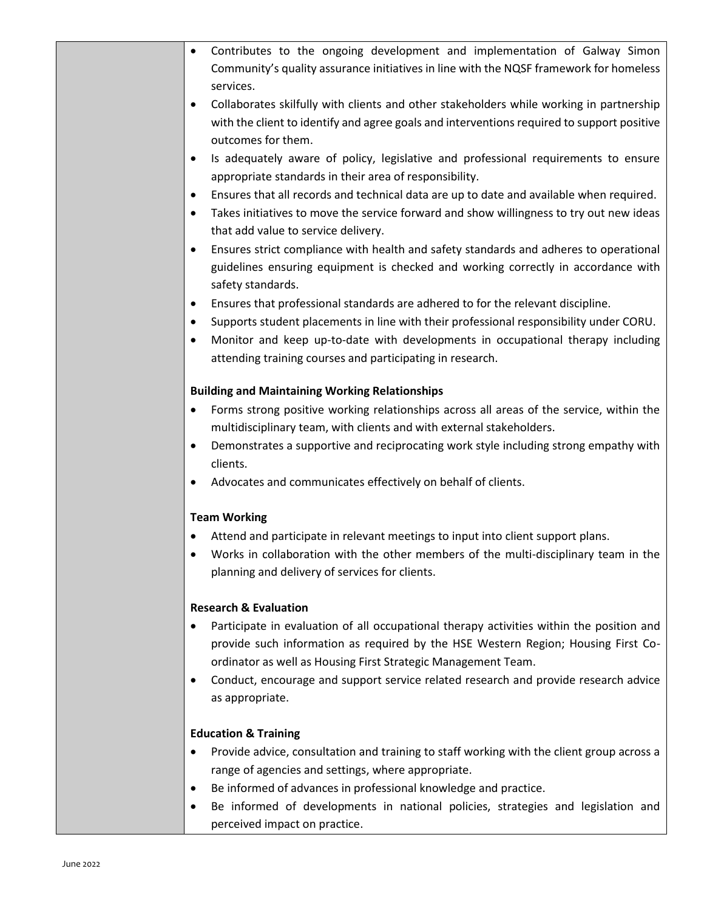| Contributes to the ongoing development and implementation of Galway Simon<br>٠<br>Community's quality assurance initiatives in line with the NQSF framework for homeless<br>services.                                                                                                                                                                         |
|---------------------------------------------------------------------------------------------------------------------------------------------------------------------------------------------------------------------------------------------------------------------------------------------------------------------------------------------------------------|
| Collaborates skilfully with clients and other stakeholders while working in partnership<br>$\bullet$<br>with the client to identify and agree goals and interventions required to support positive<br>outcomes for them.                                                                                                                                      |
| Is adequately aware of policy, legislative and professional requirements to ensure<br>$\bullet$<br>appropriate standards in their area of responsibility.                                                                                                                                                                                                     |
| Ensures that all records and technical data are up to date and available when required.<br>$\bullet$<br>Takes initiatives to move the service forward and show willingness to try out new ideas<br>$\bullet$<br>that add value to service delivery.                                                                                                           |
| Ensures strict compliance with health and safety standards and adheres to operational<br>$\bullet$<br>guidelines ensuring equipment is checked and working correctly in accordance with<br>safety standards.                                                                                                                                                  |
| Ensures that professional standards are adhered to for the relevant discipline.<br>$\bullet$<br>Supports student placements in line with their professional responsibility under CORU.<br>$\bullet$<br>Monitor and keep up-to-date with developments in occupational therapy including<br>٠<br>attending training courses and participating in research.      |
| <b>Building and Maintaining Working Relationships</b>                                                                                                                                                                                                                                                                                                         |
| Forms strong positive working relationships across all areas of the service, within the<br>٠<br>multidisciplinary team, with clients and with external stakeholders.<br>Demonstrates a supportive and reciprocating work style including strong empathy with<br>٠                                                                                             |
| clients.                                                                                                                                                                                                                                                                                                                                                      |
| Advocates and communicates effectively on behalf of clients.<br>٠                                                                                                                                                                                                                                                                                             |
| <b>Team Working</b>                                                                                                                                                                                                                                                                                                                                           |
| Attend and participate in relevant meetings to input into client support plans.<br>Works in collaboration with the other members of the multi-disciplinary team in the<br>planning and delivery of services for clients.                                                                                                                                      |
| <b>Research &amp; Evaluation</b>                                                                                                                                                                                                                                                                                                                              |
| Participate in evaluation of all occupational therapy activities within the position and<br>provide such information as required by the HSE Western Region; Housing First Co-<br>ordinator as well as Housing First Strategic Management Team.<br>Conduct, encourage and support service related research and provide research advice<br>٠<br>as appropriate. |
| <b>Education &amp; Training</b>                                                                                                                                                                                                                                                                                                                               |
| Provide advice, consultation and training to staff working with the client group across a<br>٠<br>range of agencies and settings, where appropriate.                                                                                                                                                                                                          |
| Be informed of advances in professional knowledge and practice.<br>٠<br>Be informed of developments in national policies, strategies and legislation and<br>٠<br>perceived impact on practice.                                                                                                                                                                |